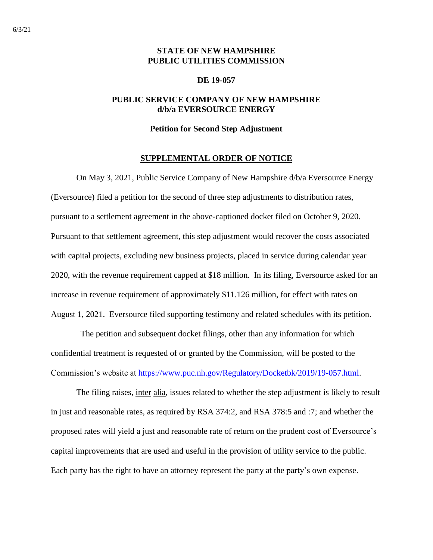# **STATE OF NEW HAMPSHIRE PUBLIC UTILITIES COMMISSION**

#### **DE 19-057**

# **PUBLIC SERVICE COMPANY OF NEW HAMPSHIRE d/b/a EVERSOURCE ENERGY**

### **Petition for Second Step Adjustment**

#### **SUPPLEMENTAL ORDER OF NOTICE**

On May 3, 2021, Public Service Company of New Hampshire d/b/a Eversource Energy (Eversource) filed a petition for the second of three step adjustments to distribution rates, pursuant to a settlement agreement in the above-captioned docket filed on October 9, 2020. Pursuant to that settlement agreement, this step adjustment would recover the costs associated with capital projects, excluding new business projects, placed in service during calendar year 2020, with the revenue requirement capped at \$18 million. In its filing, Eversource asked for an increase in revenue requirement of approximately \$11.126 million, for effect with rates on August 1, 2021. Eversource filed supporting testimony and related schedules with its petition.

 The petition and subsequent docket filings, other than any information for which confidential treatment is requested of or granted by the Commission, will be posted to the Commission's website at [https://www.puc.nh.gov/Regulatory/Docketbk/2019/19-057.html.](https://www.puc.nh.gov/Regulatory/Docketbk/2019/19-057.html)

The filing raises, inter alia, issues related to whether the step adjustment is likely to result in just and reasonable rates, as required by RSA 374:2, and RSA 378:5 and :7; and whether the proposed rates will yield a just and reasonable rate of return on the prudent cost of Eversource's capital improvements that are used and useful in the provision of utility service to the public. Each party has the right to have an attorney represent the party at the party's own expense.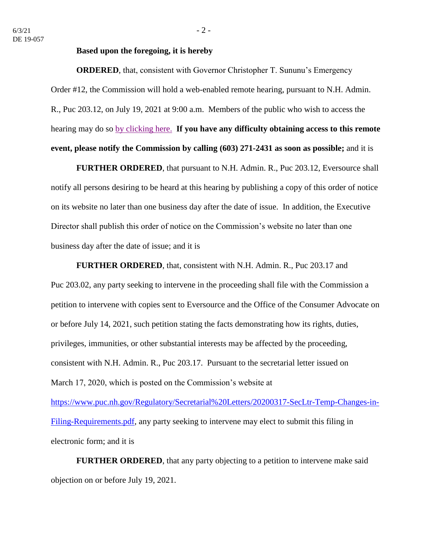## **Based upon the foregoing, it is hereby**

**ORDERED**, that, consistent with Governor Christopher T. Sununu's Emergency Order #12, the Commission will hold a web-enabled remote hearing, pursuant to N.H. Admin. R., Puc 203.12, on July 19, 2021 at 9:00 a.m. Members of the public who wish to access the hearing may do so [by clicking here.](https://www.puc.nh.gov/Regulatory/Calendar-Remote.html) **If you have any difficulty obtaining access to this remote event, please notify the Commission by calling (603) 271-2431 as soon as possible;** and it is

**FURTHER ORDERED**, that pursuant to N.H. Admin. R., Puc 203.12, Eversource shall notify all persons desiring to be heard at this hearing by publishing a copy of this order of notice on its website no later than one business day after the date of issue. In addition, the Executive Director shall publish this order of notice on the Commission's website no later than one business day after the date of issue; and it is

**FURTHER ORDERED**, that, consistent with N.H. Admin. R., Puc 203.17 and Puc 203.02, any party seeking to intervene in the proceeding shall file with the Commission a petition to intervene with copies sent to Eversource and the Office of the Consumer Advocate on or before July 14, 2021, such petition stating the facts demonstrating how its rights, duties, privileges, immunities, or other substantial interests may be affected by the proceeding, consistent with N.H. Admin. R., Puc 203.17. Pursuant to the secretarial letter issued on March 17, 2020, which is posted on the Commission's website at [https://www.puc.nh.gov/Regulatory/Secretarial%20Letters/20200317-SecLtr-Temp-Changes-in-](https://www.puc.nh.gov/Regulatory/Secretarial%20Letters/20200317-SecLtr-Temp-Changes-in-Filing-Requirements.pdf)[Filing-Requirements.pdf,](https://www.puc.nh.gov/Regulatory/Secretarial%20Letters/20200317-SecLtr-Temp-Changes-in-Filing-Requirements.pdf) any party seeking to intervene may elect to submit this filing in electronic form; and it is

**FURTHER ORDERED**, that any party objecting to a petition to intervene make said objection on or before July 19, 2021.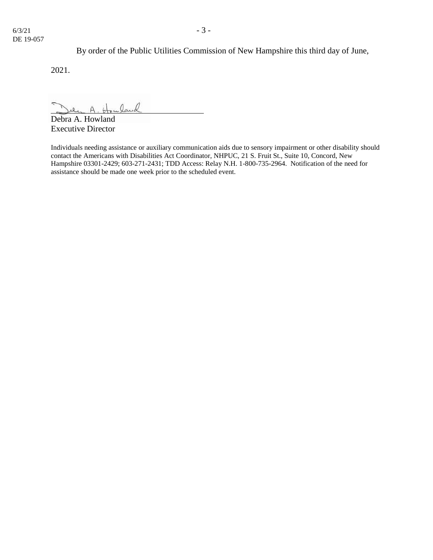By order of the Public Utilities Commission of New Hampshire this third day of June,

2021.

 $0, 0$ 

Debra A. Howland Executive Director

Individuals needing assistance or auxiliary communication aids due to sensory impairment or other disability should contact the Americans with Disabilities Act Coordinator, NHPUC, 21 S. Fruit St., Suite 10, Concord, New Hampshire 03301-2429; 603-271-2431; TDD Access: Relay N.H. 1-800-735-2964. Notification of the need for assistance should be made one week prior to the scheduled event.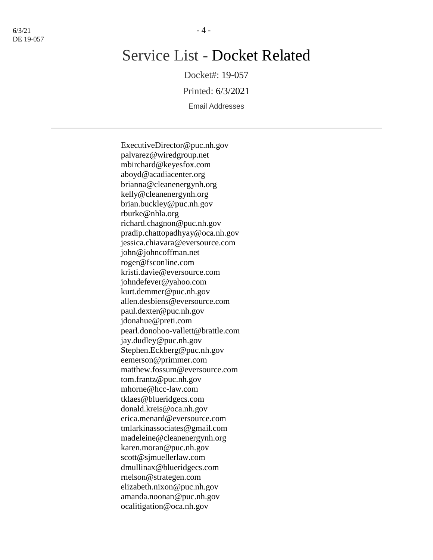# Service List - Docket Related

Docket#: 19-057

Printed: 6/3/2021

Email Addresses

ExecutiveDirector@puc.nh.gov palvarez@wiredgroup.net mbirchard@keyesfox.com aboyd@acadiacenter.org brianna@cleanenergynh.org kelly@cleanenergynh.org brian.buckley@puc.nh.gov rburke@nhla.org richard.chagnon@puc.nh.gov pradip.chattopadhyay@oca.nh.gov jessica.chiavara@eversource.com john@johncoffman.net roger@fsconline.com kristi.davie@eversource.com johndefever@yahoo.com kurt.demmer@puc.nh.gov allen.desbiens@eversource.com paul.dexter@puc.nh.gov jdonahue@preti.com pearl.donohoo-vallett@brattle.com jay.dudley@puc.nh.gov Stephen.Eckberg@puc.nh.gov eemerson@primmer.com matthew.fossum@eversource.com tom.frantz@puc.nh.gov mhorne@hcc-law.com tklaes@blueridgecs.com donald.kreis@oca.nh.gov erica.menard@eversource.com tmlarkinassociates@gmail.com madeleine@cleanenergynh.org karen.moran@puc.nh.gov scott@sjmuellerlaw.com dmullinax@blueridgecs.com rnelson@strategen.com elizabeth.nixon@puc.nh.gov amanda.noonan@puc.nh.gov ocalitigation@oca.nh.gov